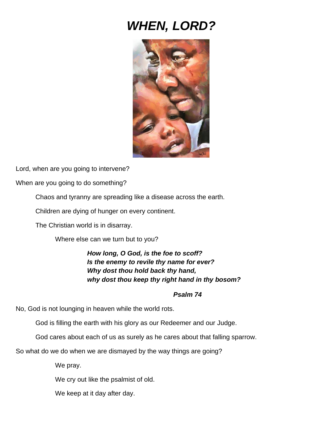## *WHEN, LORD?*



Lord, when are you going to intervene?

When are you going to do something?

Chaos and tyranny are spreading like a disease across the earth.

Children are dying of hunger on every continent.

The Christian world is in disarray.

Where else can we turn but to you?

*How long, O God, is the foe to scoff? Is the enemy to revile thy name for ever? Why dost thou hold back thy hand, why dost thou keep thy right hand in thy bosom?*

## *Psalm 74*

No, God is not lounging in heaven while the world rots.

God is filling the earth with his glory as our Redeemer and our Judge.

God cares about each of us as surely as he cares about that falling sparrow.

So what do we do when we are dismayed by the way things are going?

We pray.

We cry out like the psalmist of old.

We keep at it day after day.